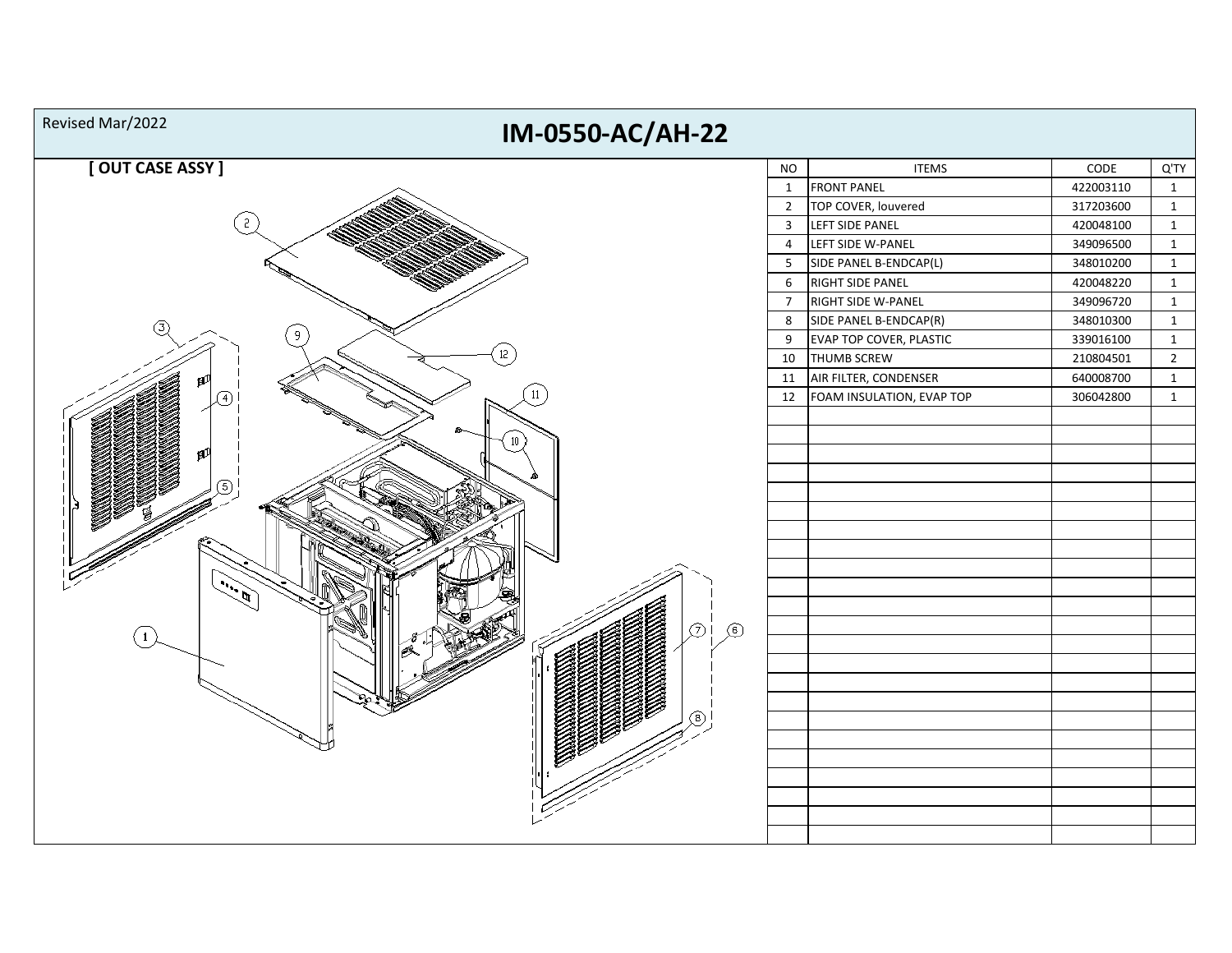| Revised Mar/2022<br>IM-0550-AC/AH-22 |                         |                                |           |                |
|--------------------------------------|-------------------------|--------------------------------|-----------|----------------|
| [OUT CASE ASSY]                      | <b>NO</b>               | <b>ITEMS</b>                   | CODE      | Q'TY           |
|                                      | $\mathbf{1}$            | <b>FRONT PANEL</b>             | 422003110 | $\mathbf{1}$   |
|                                      | $\overline{2}$          | TOP COVER, louvered            | 317203600 | $\mathbf{1}$   |
| 2                                    | $\overline{\mathbf{3}}$ | LEFT SIDE PANEL                | 420048100 | $\mathbf{1}$   |
|                                      | $\overline{4}$          | LEFT SIDE W-PANEL              | 349096500 | $\mathbf{1}$   |
|                                      | 5                       | SIDE PANEL B-ENDCAP(L)         | 348010200 | $\mathbf{1}$   |
|                                      | 6                       | RIGHT SIDE PANEL               | 420048220 | $\mathbf{1}$   |
|                                      | $\overline{7}$          | RIGHT SIDE W-PANEL             | 349096720 | $\mathbf{1}$   |
| (3)                                  | 8                       | SIDE PANEL B-ENDCAP(R)         | 348010300 | $\mathbf{1}$   |
|                                      | 9                       | <b>EVAP TOP COVER, PLASTIC</b> | 339016100 | $\mathbf{1}$   |
| 12                                   | 10                      | <b>THUMB SCREW</b>             | 210804501 | $\overline{2}$ |
|                                      | 11                      | AIR FILTER, CONDENSER          | 640008700 | $\mathbf{1}$   |
| 11                                   | 12                      | FOAM INSULATION, EVAP TOP      | 306042800 | $\mathbf{1}$   |
|                                      |                         |                                |           |                |
|                                      |                         |                                |           |                |
|                                      |                         |                                |           |                |
|                                      |                         |                                |           |                |
|                                      |                         |                                |           |                |
|                                      |                         |                                |           |                |
|                                      |                         |                                |           |                |
|                                      |                         |                                |           |                |
|                                      |                         |                                |           |                |
|                                      |                         |                                |           |                |
|                                      |                         |                                |           |                |
| $\circledcirc$<br>டுi                |                         |                                |           |                |
|                                      |                         |                                |           |                |
|                                      |                         |                                |           |                |
|                                      |                         |                                |           |                |
|                                      |                         |                                |           |                |
|                                      |                         |                                |           |                |
|                                      |                         |                                |           |                |
|                                      |                         |                                |           |                |
|                                      |                         |                                |           |                |
|                                      |                         |                                |           |                |
|                                      |                         |                                |           |                |
|                                      |                         |                                |           |                |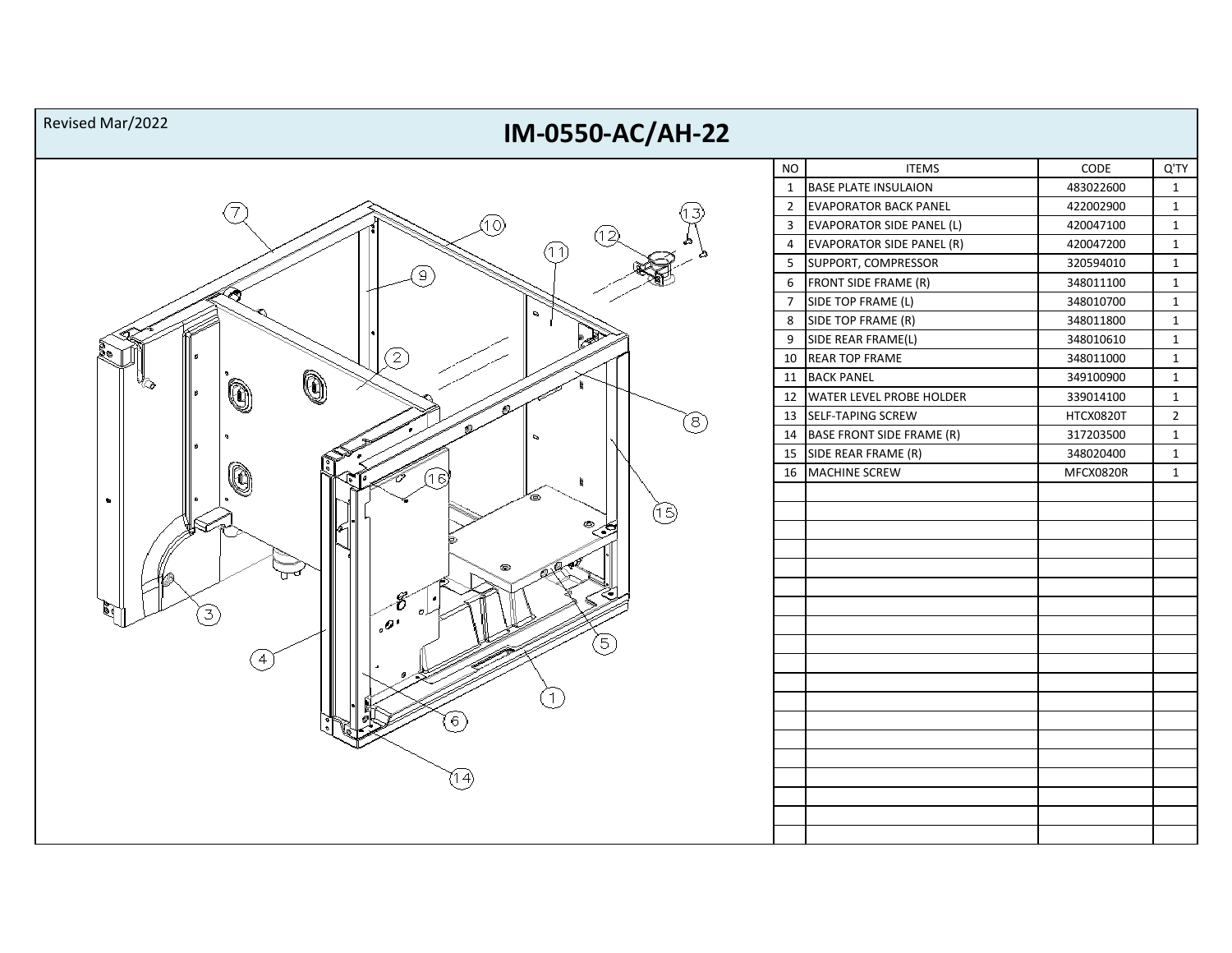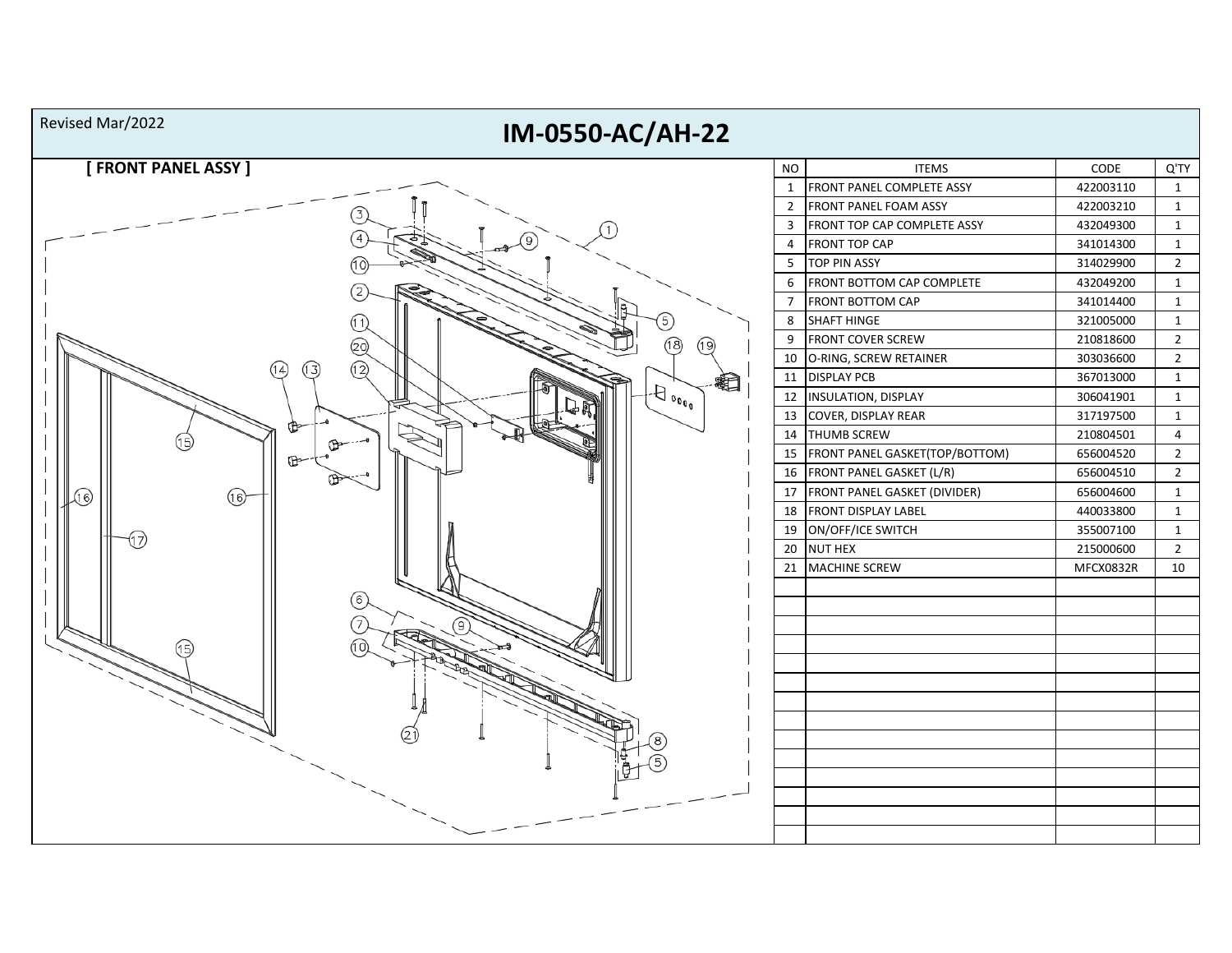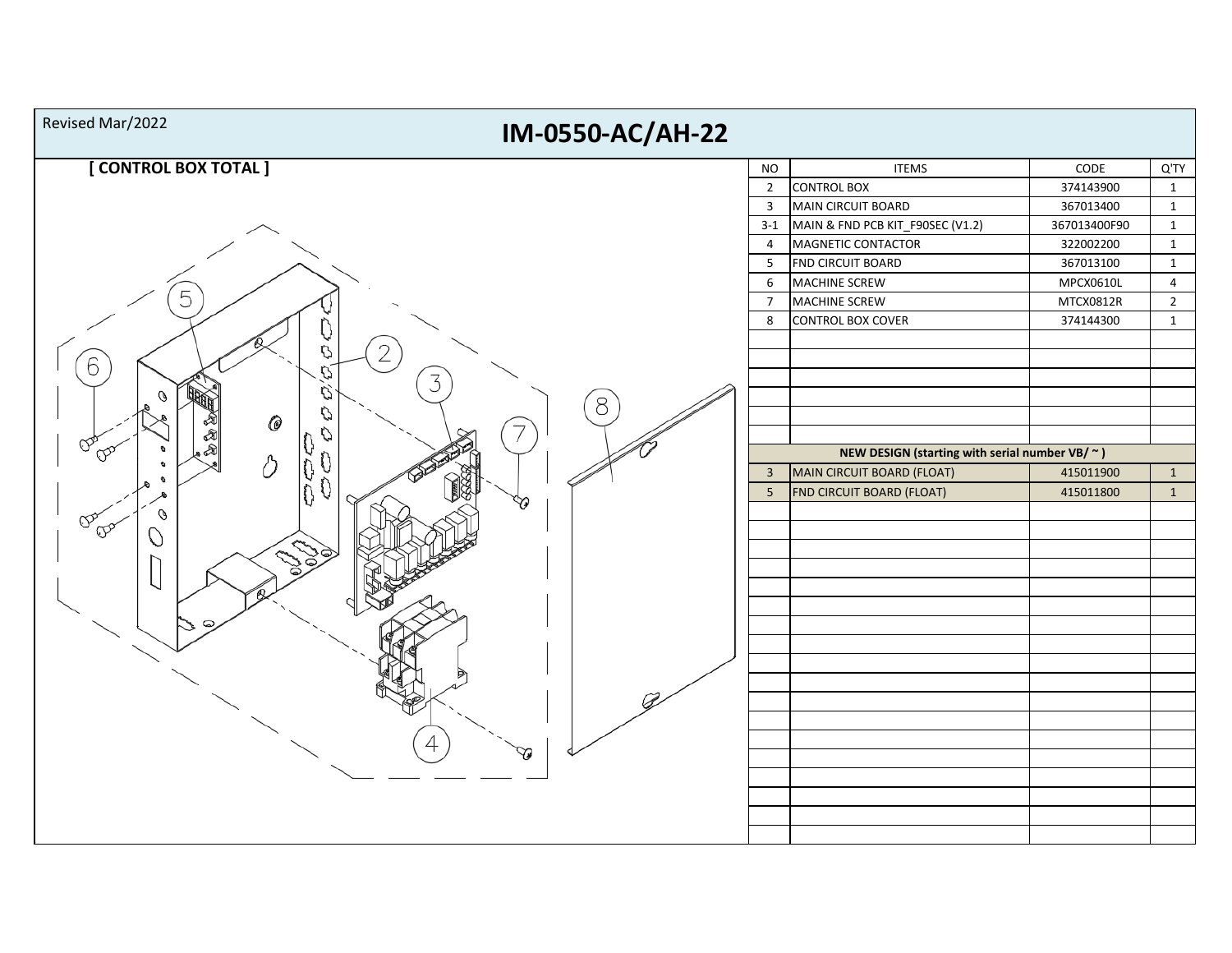| Revised Mar/2022<br>IM-0550-AC/AH-22 |                 |                                                                                    |                 |                |  |  |
|--------------------------------------|-----------------|------------------------------------------------------------------------------------|-----------------|----------------|--|--|
| [CONTROL BOX TOTAL]                  | <b>NO</b>       | <b>ITEMS</b>                                                                       | $\mathsf{CODE}$ | Q'TY           |  |  |
|                                      | $\overline{2}$  | <b>CONTROL BOX</b>                                                                 | 374143900       | $\mathbf{1}$   |  |  |
|                                      | $\overline{3}$  | MAIN CIRCUIT BOARD                                                                 | 367013400       | $\mathbf{1}$   |  |  |
|                                      | $3 - 1$         | MAIN & FND PCB KIT_F90SEC (V1.2)                                                   | 367013400F90    | $\mathbf{1}$   |  |  |
|                                      | $\overline{4}$  | MAGNETIC CONTACTOR                                                                 | 322002200       | $\mathbf{1}$   |  |  |
|                                      | 5               | FND CIRCUIT BOARD                                                                  | 367013100       | $\mathbf{1}$   |  |  |
|                                      | 6               | MACHINE SCREW                                                                      | MPCX0610L       | $\overline{4}$ |  |  |
| 5<br>2<br>C<br>6<br>3<br>O<br>8      | $\overline{7}$  | MACHINE SCREW                                                                      | MTCX0812R       | $\overline{2}$ |  |  |
|                                      | 8               | <b>CONTROL BOX COVER</b>                                                           | 374144300       | $\mathbf 1$    |  |  |
| 0<br>V<br>$\infty$<br>Δ              | $\overline{3}$  | NEW DESIGN (starting with serial number VB/ $\sim$ )<br>MAIN CIRCUIT BOARD (FLOAT) | 415011900       | $\mathbf{1}$   |  |  |
| ſ                                    | $5\phantom{.0}$ | <b>FND CIRCUIT BOARD (FLOAT)</b>                                                   | 415011800       | $\mathbf{1}$   |  |  |
| 79<br>O<br>ଙ<br>$\infty$<br>S        |                 |                                                                                    |                 |                |  |  |
|                                      |                 |                                                                                    |                 |                |  |  |
|                                      |                 |                                                                                    |                 |                |  |  |
|                                      |                 |                                                                                    |                 |                |  |  |
|                                      |                 |                                                                                    |                 |                |  |  |
|                                      |                 |                                                                                    |                 |                |  |  |
|                                      |                 |                                                                                    |                 |                |  |  |
|                                      |                 |                                                                                    |                 |                |  |  |
|                                      |                 |                                                                                    |                 |                |  |  |
|                                      |                 |                                                                                    |                 |                |  |  |
|                                      |                 |                                                                                    |                 |                |  |  |
|                                      |                 |                                                                                    |                 |                |  |  |
|                                      |                 |                                                                                    |                 |                |  |  |
|                                      |                 |                                                                                    |                 |                |  |  |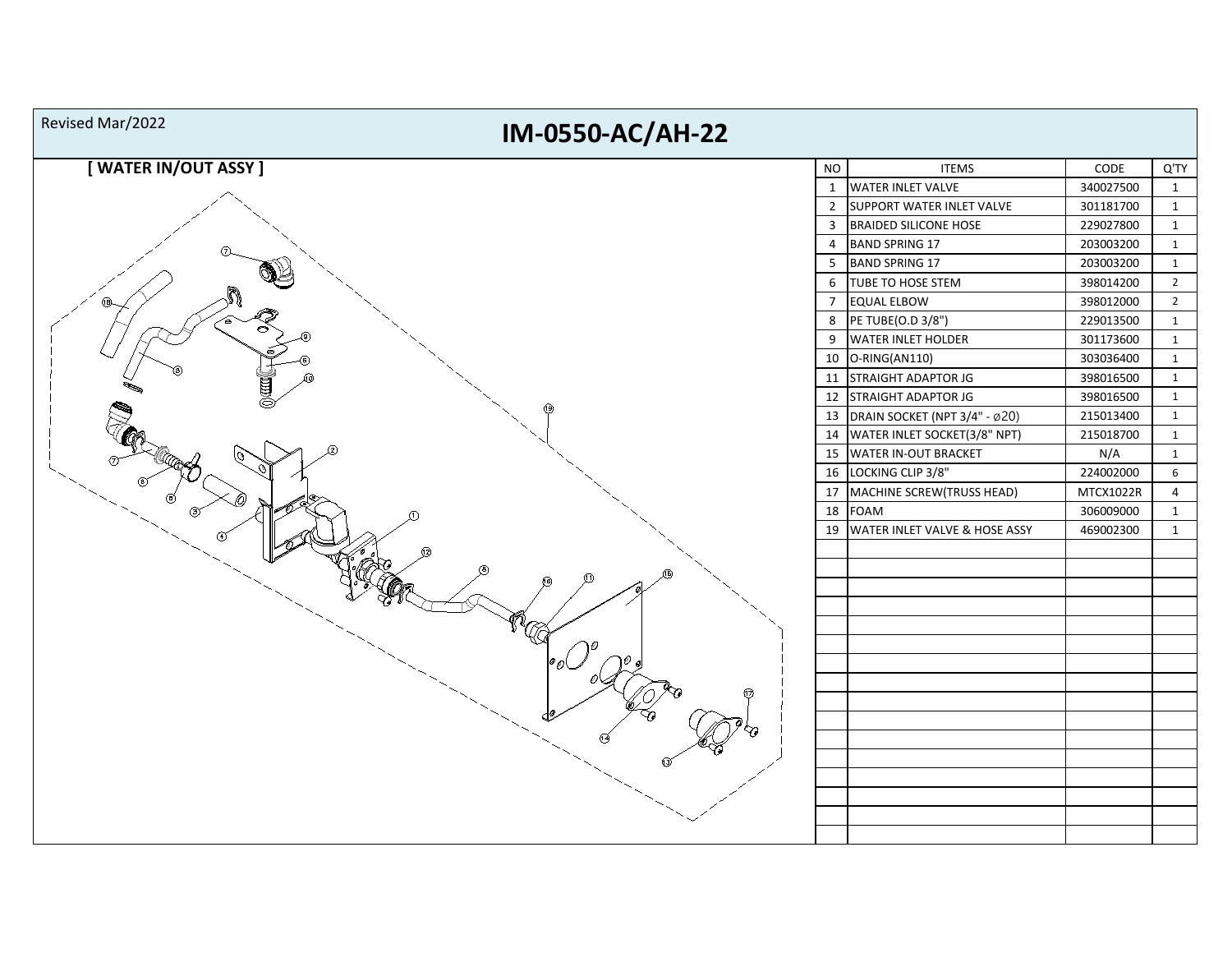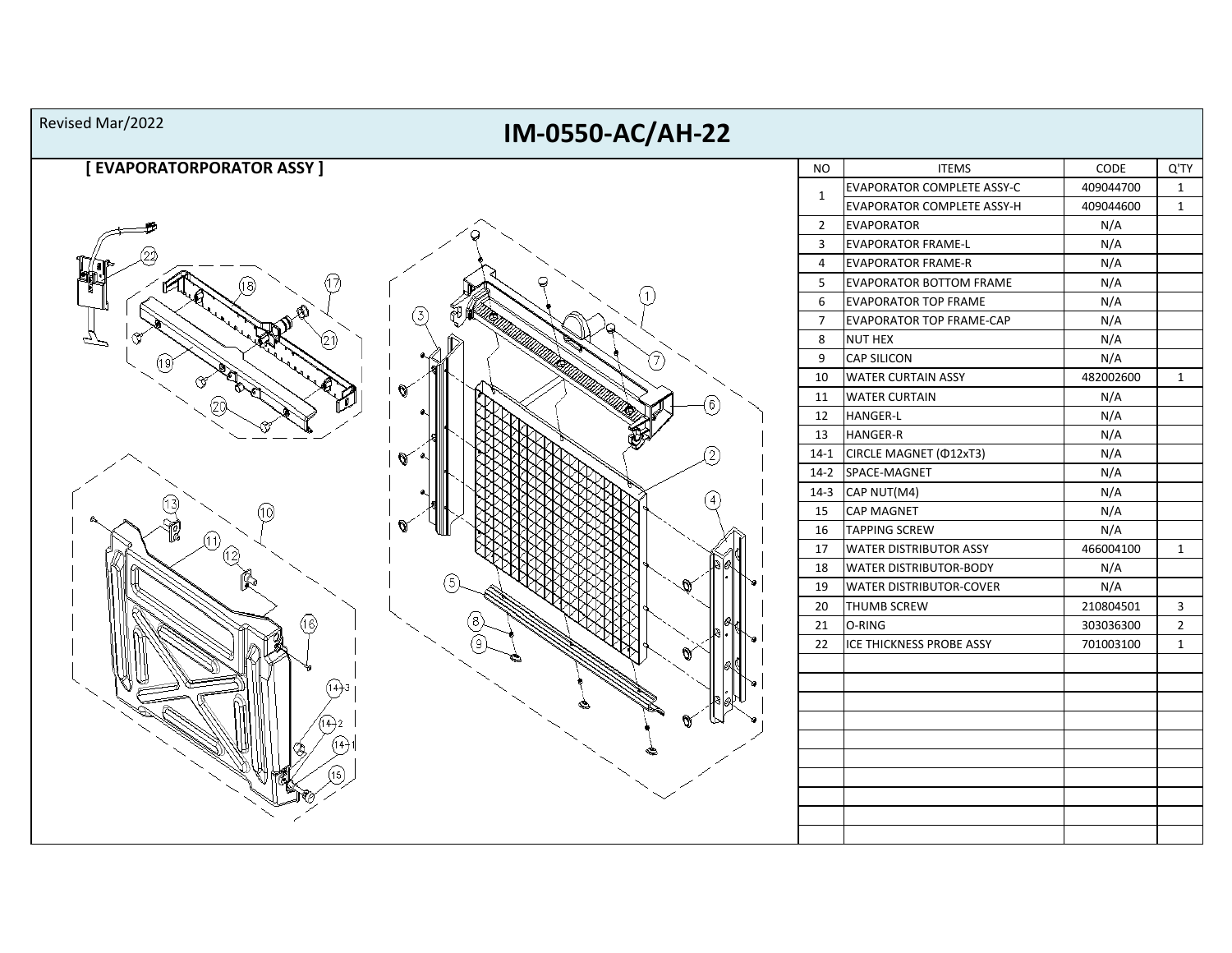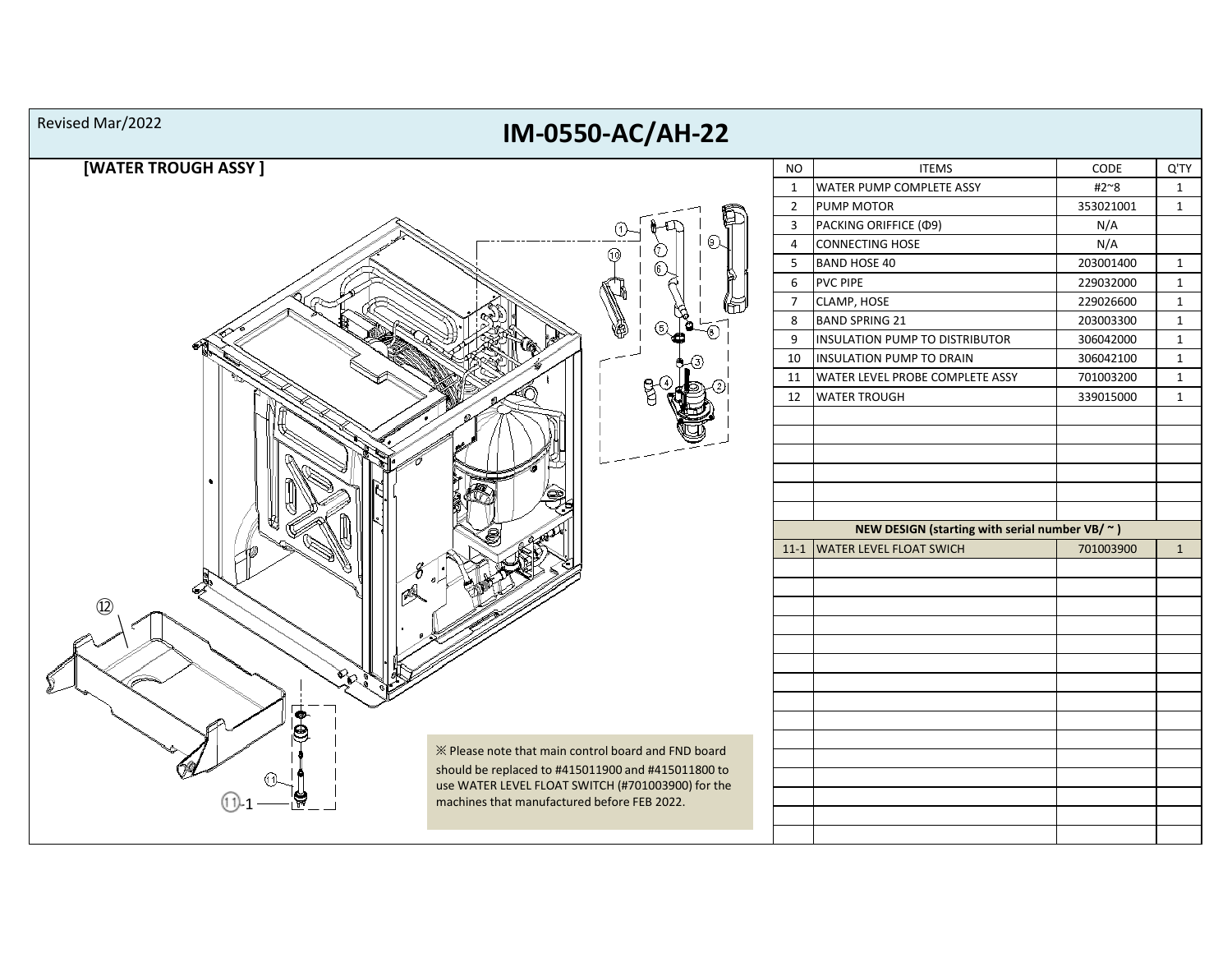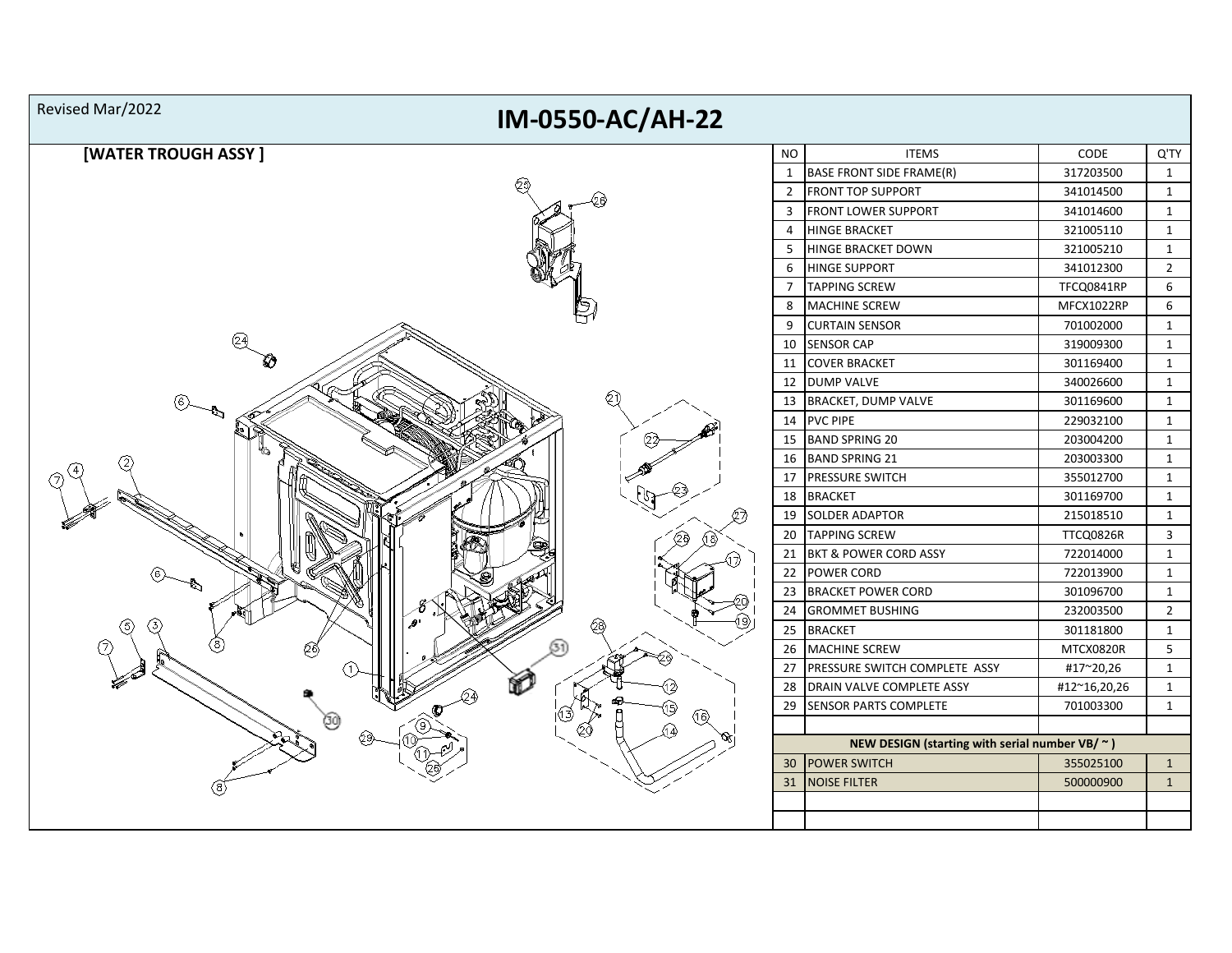